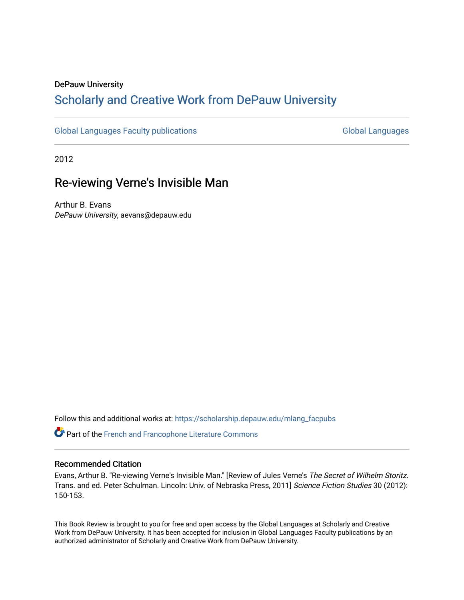### DePauw University

# Scholarly and [Creative Work from DePauw Univ](https://scholarship.depauw.edu/)ersity

[Global Languages Faculty publications](https://scholarship.depauw.edu/mlang_facpubs) [Global Languages](https://scholarship.depauw.edu/modernlanguages) Global Languages

2012

## Re-viewing Verne's Invisible Man

Arthur B. Evans DePauw University, aevans@depauw.edu

Follow this and additional works at: [https://scholarship.depauw.edu/mlang\\_facpubs](https://scholarship.depauw.edu/mlang_facpubs?utm_source=scholarship.depauw.edu%2Fmlang_facpubs%2F61&utm_medium=PDF&utm_campaign=PDFCoverPages)

**C** Part of the French and Francophone Literature Commons

#### Recommended Citation

Evans, Arthur B. "Re-viewing Verne's Invisible Man." [Review of Jules Verne's The Secret of Wilhelm Storitz. Trans. and ed. Peter Schulman. Lincoln: Univ. of Nebraska Press, 2011] Science Fiction Studies 30 (2012): 150-153.

This Book Review is brought to you for free and open access by the Global Languages at Scholarly and Creative Work from DePauw University. It has been accepted for inclusion in Global Languages Faculty publications by an authorized administrator of Scholarly and Creative Work from DePauw University.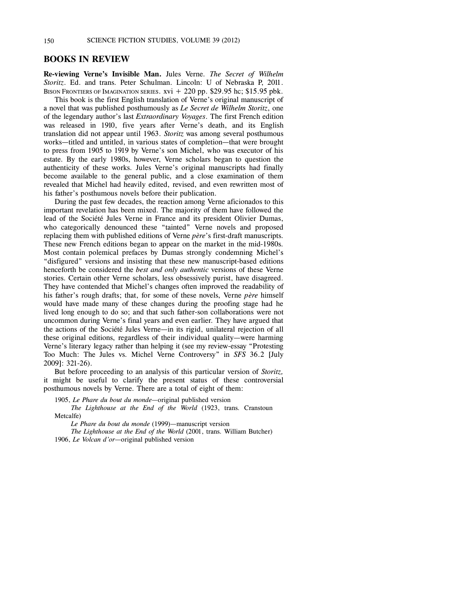#### **BOOKS IN REVIEW**

**Re-viewing Verne's Invisible Man.** Jules Verne. *The Secret of Wilhelm Storitz*. Ed. and trans. Peter Schulman. Lincoln: U of Nebraska P, 2011. BISON FRONTIERS OF IMAGINATION SERIES.  $xvi + 220$  pp. \$29.95 hc; \$15.95 pbk.

This book is the first English translation of Verne's original manuscript of a novel that was published posthumously as *Le Secret de Wilhelm Storitz*, one of the legendary author's last *Extraordinary Voyages*. The first French edition was released in 1910, five years after Verne's death, and its English translation did not appear until 1963. *Storitz* was among several posthumous works—titled and untitled, in various states of completion—that were brought to press from 1905 to 1919 by Verne's son Michel, who was executor of his estate. By the early 1980s, however, Verne scholars began to question the authenticity of these works. Jules Verne's original manuscripts had finally become available to the general public, and a close examination of them revealed that Michel had heavily edited, revised, and even rewritten most of his father's posthumous novels before their publication.

During the past few decades, the reaction among Verne aficionados to this important revelation has been mixed. The majority of them have followed the lead of the Société Jules Verne in France and its president Olivier Dumas, who categorically denounced these "tainted" Verne novels and proposed replacing them with published editions of Verne *père*'s first-draft manuscripts. These new French editions began to appear on the market in the mid-1980s. Most contain polemical prefaces by Dumas strongly condemning Michel's "disfigured" versions and insisting that these new manuscript-based editions henceforth be considered the *best and only authentic* versions of these Verne stories. Certain other Verne scholars, less obsessively purist, have disagreed. They have contended that Michel's changes often improved the readability of his father's rough drafts; that, for some of these novels, Verne *père* himself would have made many of these changes during the proofing stage had he lived long enough to do so; and that such father-son collaborations were not uncommon during Verne's final years and even earlier. They have argued that the actions of the Société Jules Verne—in its rigid, unilateral rejection of all these original editions, regardless of their individual quality—were harming Verne's literary legacy rather than helping it (see my review-essay "Protesting Too Much: The Jules vs. Michel Verne Controversy" in *SFS* 36.2 [July 2009]: 321-26).

But before proceeding to an analysis of this particular version of *Storitz,* it might be useful to clarify the present status of these controversial posthumous novels by Verne. There are a total of eight of them:

1905, *Le Phare du bout du monde*—original published version

*The Lighthouse at the End of the World* (1923, trans. Cranstoun Metcalfe)

*Le Phare du bout du monde* (1999)—manuscript version

*The Lighthouse at the End of the World* (2001, trans. William Butcher) 1906, *Le Volcan d'or*—original published version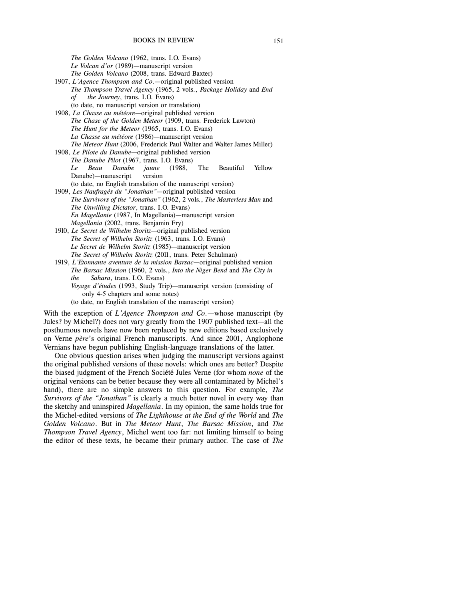*The Golden Volcano* (1962, trans. I.O. Evans) *Le Volcan d'or* (1989)—manuscript version *The Golden Volcano* (2008, trans. Edward Baxter) 1907, *L'Agence Thompson and Co.*—original published version *The Thompson Travel Agency* (1965, 2 vols., *Package Holiday* and *End of the Journey*, trans. I.O. Evans) (to date, no manuscript version or translation) 1908, *La Chasse au météore*—original published version *The Chase of the Golden Meteor* (1909, trans. Frederick Lawton) *The Hunt for the Meteor* (1965, trans. I.O. Evans) *La Chasse au météore* (1986)—manuscript version *The Meteor Hunt* (2006, Frederick Paul Walter and Walter James Miller) 1908, *Le Pilote du Danube*—original published version *The Danube Pilot* (1967, trans. I.O. Evans) *Le Beau Danube jaune* (1988, The Beautiful Yellow Danube)—manuscript version (to date, no English translation of the manuscript version) 1909, *Les Naufragés du "Jonathan"*—original published version *The Survivors of the "Jonathan"* (1962, 2 vols., *The Masterless Man* and *The Unwilling Dictator*, trans. I.O. Evans) *En Magellanie* (1987, In Magellania)—manuscript version *Magellania* (2002, trans. Benjamin Fry) 1910, *Le Secret de Wilhelm Storitz*—original published version *The Secret of Wilhelm Storitz* (1963, trans. I.O. Evans) *Le Secret de Wilhelm Storitz* (1985)—manuscript version *The Secret of Wilhelm Storitz* (2011, trans. Peter Schulman) 1919, *L'Etonnante aventure de la mission Barsac*—original published version *The Barsac Mission* (1960, 2 vols., *Into the Niger Bend* and *The City in the Sahara*, trans. I.O. Evans) *Voyage d'études* (1993, Study Trip)—manuscript version (consisting of only 4-5 chapters and some notes)

(to date, no English translation of the manuscript version)

With the exception of *L'Agence Thompson and Co.*—whose manuscript (by Jules? by Michel?) does not vary greatly from the 1907 published text—all the posthumous novels have now been replaced by new editions based exclusively on Verne *père*'s original French manuscripts. And since 2001, Anglophone Vernians have begun publishing English-language translations of the latter.

One obvious question arises when judging the manuscript versions against the original published versions of these novels: which ones are better? Despite the biased judgment of the French Société Jules Verne (for whom *none* of the original versions can be better because they were all contaminated by Michel's hand), there are no simple answers to this question. For example, *The Survivors of the "Jonathan"* is clearly a much better novel in every way than the sketchy and uninspired *Magellania*. In my opinion, the same holds true for the Michel-edited versions of *The Lighthouse at the End of the World* and *The Golden Volcano*. But in *The Meteor Hunt*, *The Barsac Mission*, and *The Thompson Travel Agency*, Michel went too far: not limiting himself to being the editor of these texts, he became their primary author. The case of *The*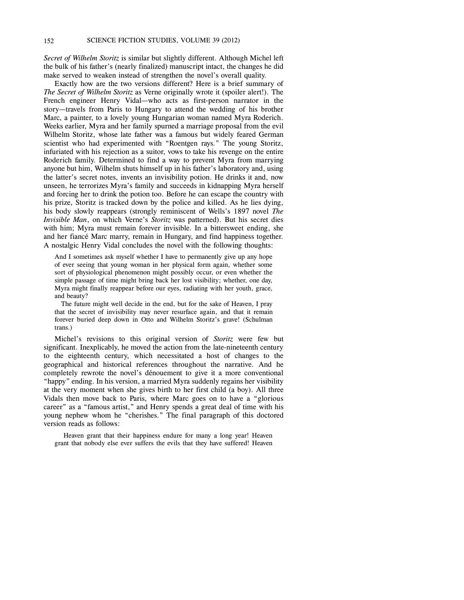*Secret of Wilhelm Storitz* is similar but slightly different. Although Michel left the bulk of his father's (nearly finalized) manuscript intact, the changes he did make served to weaken instead of strengthen the novel's overall quality.

Exactly how are the two versions different? Here is a brief summary of *The Secret of Wilhelm Storitz* as Verne originally wrote it (spoiler alert!). The French engineer Henry Vidal—who acts as first-person narrator in the story—travels from Paris to Hungary to attend the wedding of his brother Marc, a painter, to a lovely young Hungarian woman named Myra Roderich. Weeks earlier, Myra and her family spurned a marriage proposal from the evil Wilhelm Storitz, whose late father was a famous but widely feared German scientist who had experimented with "Roentgen rays." The young Storitz, infuriated with his rejection as a suitor, vows to take his revenge on the entire Roderich family. Determined to find a way to prevent Myra from marrying anyone but him, Wilhelm shuts himself up in his father's laboratory and, using the latter's secret notes, invents an invisibility potion. He drinks it and, now unseen, he terrorizes Myra's family and succeeds in kidnapping Myra herself and forcing her to drink the potion too. Before he can escape the country with his prize, Storitz is tracked down by the police and killed. As he lies dying, his body slowly reappears (strongly reminiscent of Wells's 1897 novel *The Invisible Man*, on which Verne's *Storitz* was patterned). But his secret dies with him; Myra must remain forever invisible. In a bittersweet ending, she and her fiancé Marc marry, remain in Hungary, and find happiness together. A nostalgic Henry Vidal concludes the novel with the following thoughts:

And I sometimes ask myself whether I have to permanently give up any hope of ever seeing that young woman in her physical form again, whether some sort of physiological phenomenon might possibly occur, or even whether the simple passage of time might bring back her lost visibility; whether, one day, Myra might finally reappear before our eyes, radiating with her youth, grace, and beauty?

The future might well decide in the end, but for the sake of Heaven, I pray that the secret of invisibility may never resurface again, and that it remain forever buried deep down in Otto and Wilhelm Storitz's grave! (Schulman trans.)

Michel's revisions to this original version of *Storitz* were few but significant. Inexplicably, he moved the action from the late-nineteenth century to the eighteenth century, which necessitated a host of changes to the geographical and historical references throughout the narrative. And he completely rewrote the novel's dénouement to give it a more conventional "happy" ending. In his version, a married Myra suddenly regains her visibility at the very moment when she gives birth to her first child (a boy). All three Vidals then move back to Paris, where Marc goes on to have a "glorious career" as a "famous artist," and Henry spends a great deal of time with his young nephew whom he "cherishes." The final paragraph of this doctored version reads as follows:

Heaven grant that their happiness endure for many a long year! Heaven grant that nobody else ever suffers the evils that they have suffered! Heaven